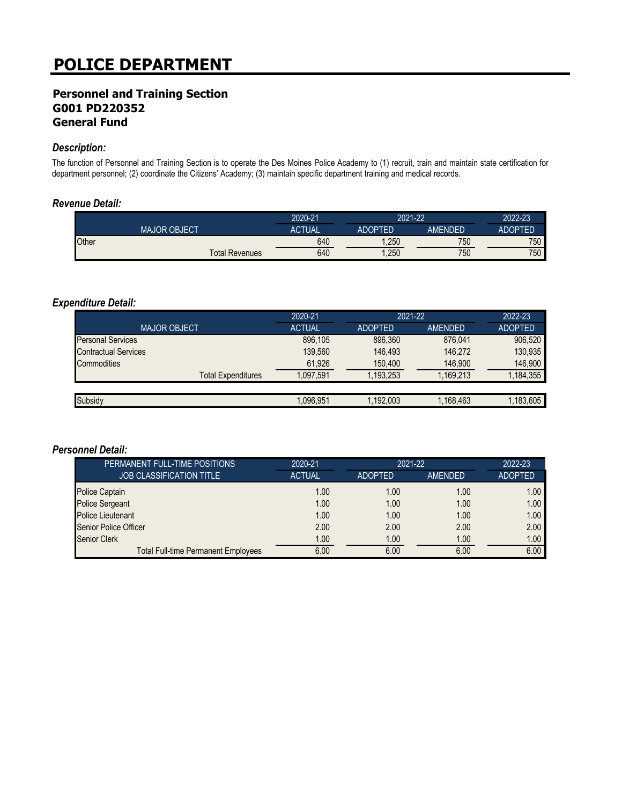## **Personnel and Training Section G001 PD220352 General Fund**

### *Description:*

The function of Personnel and Training Section is to operate the Des Moines Police Academy to (1) recruit, train and maintain state certification for department personnel; (2) coordinate the Citizens' Academy; (3) maintain specific department training and medical records.

#### *Revenue Detail:*

|       |                       | 2020-21       | 2021-22        |         | 2022-23        |
|-------|-----------------------|---------------|----------------|---------|----------------|
|       | <b>MAJOR OBJECT</b>   | <b>ACTUAL</b> | <b>ADOPTED</b> | AMENDED | <b>ADOPTED</b> |
| Other |                       | 640           | ,250           | 750     | 750            |
|       | <b>Total Revenues</b> | 640           | ,250           | 750     | 750            |

#### *Expenditure Detail:*

|                             | 2020-21       | 2021-22        |           | 2022-23        |
|-----------------------------|---------------|----------------|-----------|----------------|
| <b>MAJOR OBJECT</b>         | <b>ACTUAL</b> | <b>ADOPTED</b> | AMENDED   | <b>ADOPTED</b> |
| <b>Personal Services</b>    | 896,105       | 896.360        | 876.041   | 906,520        |
| <b>Contractual Services</b> | 139,560       | 146.493        | 146.272   | 130,935        |
| Commodities                 | 61,926        | 150,400        | 146,900   | 146,900        |
| <b>Total Expenditures</b>   | 1.097.591     | 1.193.253      | 1,169,213 | 1,184,355      |
|                             |               |                |           |                |
| Subsidy                     | 1.096.951     | 1,192,003      | 1,168,463 | 1,183,605      |

| PERMANENT FULL-TIME POSITIONS              | 2020-21       | 2021-22        |         | 2022-23        |
|--------------------------------------------|---------------|----------------|---------|----------------|
| <b>JOB CLASSIFICATION TITLE</b>            | <b>ACTUAL</b> | <b>ADOPTED</b> | AMENDED | <b>ADOPTED</b> |
| <b>Police Captain</b>                      | 1.00          | 1.00           | 1.00    | 1.00           |
| Police Sergeant                            | 1.00          | 1.00           | 1.00    | 1.00           |
| <b>Police Lieutenant</b>                   | 1.00          | 1.00           | 1.00    | 1.00           |
| <b>Senior Police Officer</b>               | 2.00          | 2.00           | 2.00    | 2.00           |
| <b>Senior Clerk</b>                        | 1.00          | 1.00           | 1.00    | 1.00           |
| <b>Total Full-time Permanent Employees</b> | 6.00          | 6.00           | 6.00    | 6.00           |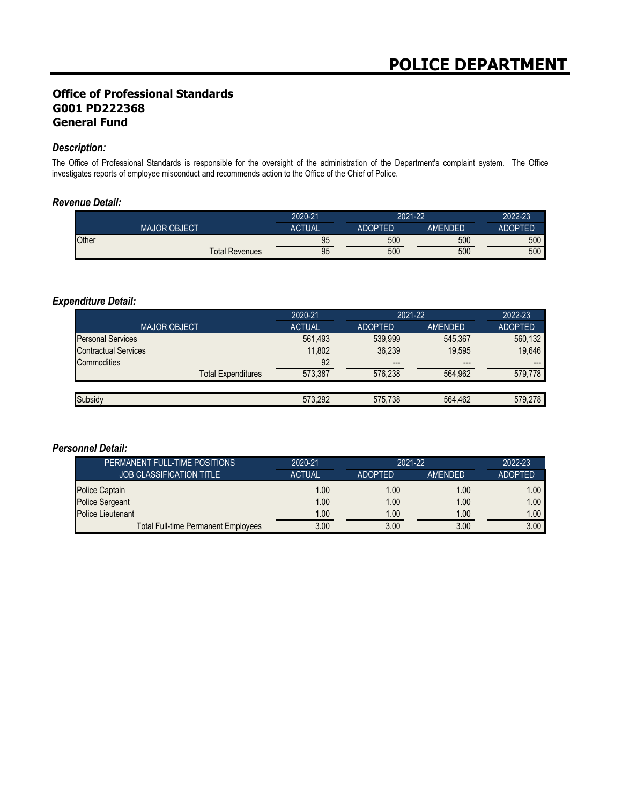## **Office of Professional Standards G001 PD222368 General Fund**

#### *Description:*

The Office of Professional Standards is responsible for the oversight of the administration of the Department's complaint system. The Office investigates reports of employee misconduct and recommends action to the Office of the Chief of Police.

#### *Revenue Detail:*

|       |                       | 2020-21       | 2021-22        |         | 2022-23        |
|-------|-----------------------|---------------|----------------|---------|----------------|
|       | <b>MAJOR OBJECT</b>   | <b>ACTUAL</b> | <b>ADOPTED</b> | AMENDED | <b>ADOPTED</b> |
| Other |                       | 95            | 500            | 500     | 500            |
|       | <b>Total Revenues</b> | 95            | 500            | 500     | 500            |

#### *Expenditure Detail:*

| 2020-21       | 2021-22        |         | 2022-23        |
|---------------|----------------|---------|----------------|
| <b>ACTUAL</b> | <b>ADOPTED</b> | AMENDED | <b>ADOPTED</b> |
| 561,493       | 539.999        | 545,367 | 560,132        |
| 11.802        | 36.239         | 19.595  | 19,646         |
| 92            | $---$          | $---$   | $---$          |
| 573.387       | 576.238        | 564.962 | 579.778        |
|               |                |         |                |
| 573,292       | 575.738        | 564.462 | 579.278        |
|               |                |         |                |

| PERMANENT FULL-TIME POSITIONS       | 2020-21       | 2021-22        |         | 2022-23           |
|-------------------------------------|---------------|----------------|---------|-------------------|
| <b>JOB CLASSIFICATION TITLE</b>     | <b>ACTUAL</b> | <b>ADOPTED</b> | AMENDED | <b>ADOPTED</b>    |
| <b>Police Captain</b>               | 1.00          | 1.00           | 1.00    | 1.00 <sub>1</sub> |
| <b>Police Sergeant</b>              | 1.00          | 1.00           | 1.00    | 1.00 <sub>1</sub> |
| <b>Police Lieutenant</b>            | 1.00          | 1.00           | 1.00    | 1.00 <sub>1</sub> |
| Total Full-time Permanent Employees | 3.00          | 3.00           | 3.00    | 3.00              |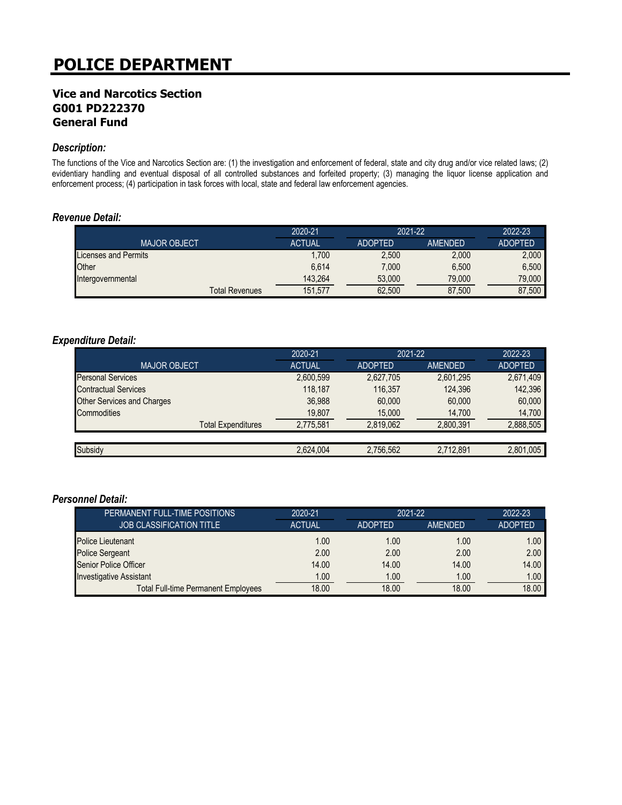### **Vice and Narcotics Section G001 PD222370 General Fund**

#### *Description:*

The functions of the Vice and Narcotics Section are: (1) the investigation and enforcement of federal, state and city drug and/or vice related laws; (2) evidentiary handling and eventual disposal of all controlled substances and forfeited property; (3) managing the liquor license application and enforcement process; (4) participation in task forces with local, state and federal law enforcement agencies.

#### *Revenue Detail:*

|                       | 2020-21       | 2021-22        |                | 2022-23        |
|-----------------------|---------------|----------------|----------------|----------------|
| <b>MAJOR OBJECT</b>   | <b>ACTUAL</b> | <b>ADOPTED</b> | <b>AMENDED</b> | <b>ADOPTED</b> |
| Licenses and Permits  | ,700          | 2,500          | 2,000          | 2.000          |
| Other                 | 6.614         | 7.000          | 6.500          | 6.500          |
| Intergovernmental     | 143.264       | 53,000         | 79.000         | 79.000         |
| <b>Total Revenues</b> | 151.577       | 62,500         | 87,500         | 87,500         |

#### *Expenditure Detail:*

|                                   | 2020-21       | 2021-22        |           | 2022-23        |
|-----------------------------------|---------------|----------------|-----------|----------------|
| <b>MAJOR OBJECT</b>               | <b>ACTUAL</b> | <b>ADOPTED</b> | AMENDED   | <b>ADOPTED</b> |
| <b>Personal Services</b>          | 2,600,599     | 2,627,705      | 2,601,295 | 2,671,409      |
| <b>Contractual Services</b>       | 118.187       | 116.357        | 124.396   | 142,396        |
| <b>Other Services and Charges</b> | 36.988        | 60,000         | 60,000    | 60,000         |
| Commodities                       | 19,807        | 15,000         | 14,700    | 14,700         |
| <b>Total Expenditures</b>         | 2,775,581     | 2,819,062      | 2,800,391 | 2,888,505      |
|                                   |               |                |           |                |
| Subsidy                           | 2,624,004     | 2,756,562      | 2,712,891 | 2,801,005      |

| PERMANENT FULL-TIME POSITIONS              | 2020-21       | 2021-22        |         | 2022-23        |
|--------------------------------------------|---------------|----------------|---------|----------------|
| <b>JOB CLASSIFICATION TITLE</b>            | <b>ACTUAL</b> | <b>ADOPTED</b> | AMENDED | <b>ADOPTED</b> |
| <b>Police Lieutenant</b>                   | 1.00          | 1.00           | 1.00    | 1.00           |
| <b>Police Sergeant</b>                     | 2.00          | 2.00           | 2.00    | 2.00           |
| Senior Police Officer                      | 14.00         | 14.00          | 14.00   | 14.00          |
| <b>Investigative Assistant</b>             | 1.00          | 1.00           | 1.00    | 1.00           |
| <b>Total Full-time Permanent Employees</b> | 18.00         | 18.00          | 18.00   | 18.00          |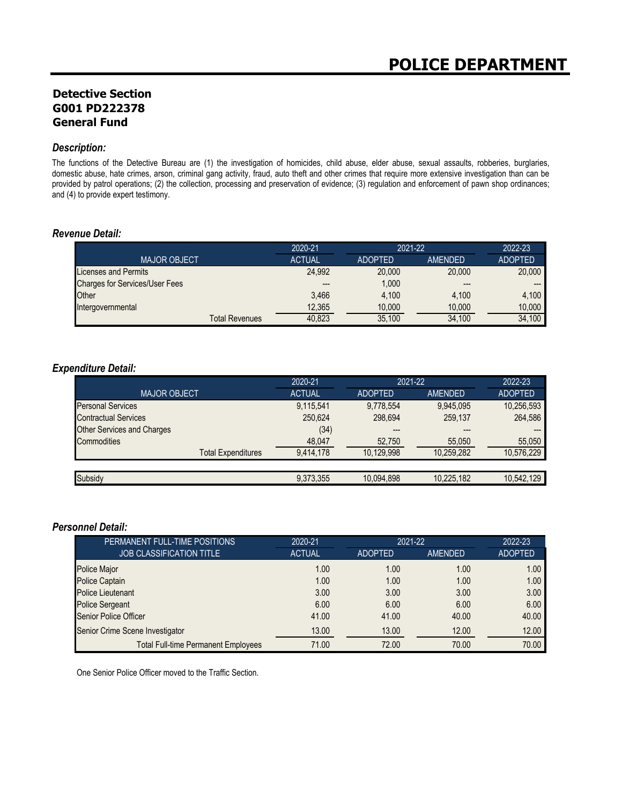## **Detective Section G001 PD222378 General Fund**

#### *Description:*

The functions of the Detective Bureau are (1) the investigation of homicides, child abuse, elder abuse, sexual assaults, robberies, burglaries, domestic abuse, hate crimes, arson, criminal gang activity, fraud, auto theft and other crimes that require more extensive investigation than can be provided by patrol operations; (2) the collection, processing and preservation of evidence; (3) regulation and enforcement of pawn shop ordinances; and (4) to provide expert testimony.

#### *Revenue Detail:*

|                                       | 2020-21       | 2021-22        |         | 2022-23        |
|---------------------------------------|---------------|----------------|---------|----------------|
| <b>MAJOR OBJECT</b>                   | <b>ACTUAL</b> | <b>ADOPTED</b> | AMENDED | <b>ADOPTED</b> |
| Licenses and Permits                  | 24.992        | 20,000         | 20,000  | 20,000         |
| <b>Charges for Services/User Fees</b> | $---$         | 1,000          | $---$   | $---$          |
| Other                                 | 3.466         | 4.100          | 4.100   | 4.100          |
| Intergovernmental                     | 12.365        | 10,000         | 10.000  | 10.000         |
| Total Revenues                        | 40.823        | 35.100         | 34,100  | 34,100         |

#### *Expenditure Detail:*

|                                   | 2020-21       | 2021-22        |            | 2022-23        |
|-----------------------------------|---------------|----------------|------------|----------------|
| <b>MAJOR OBJECT.</b>              | <b>ACTUAL</b> | <b>ADOPTED</b> | AMENDED    | <b>ADOPTED</b> |
| <b>Personal Services</b>          | 9,115,541     | 9.778.554      | 9.945.095  | 10,256,593     |
| <b>Contractual Services</b>       | 250,624       | 298.694        | 259,137    | 264,586        |
| <b>Other Services and Charges</b> | (34)          |                | ---        |                |
| Commodities                       | 48,047        | 52,750         | 55,050     | 55,050         |
| <b>Total Expenditures</b>         | 9,414,178     | 10,129,998     | 10,259,282 | 10,576,229     |
|                                   |               |                |            |                |
| Subsidy                           | 9,373,355     | 10,094,898     | 10,225,182 | 10,542,129     |

#### *Personnel Detail:*

| PERMANENT FULL-TIME POSITIONS              | 2020-21       | 2021-22        |                | 2022-23        |
|--------------------------------------------|---------------|----------------|----------------|----------------|
| <b>JOB CLASSIFICATION TITLE</b>            | <b>ACTUAL</b> | <b>ADOPTED</b> | <b>AMENDED</b> | <b>ADOPTED</b> |
| <b>Police Major</b>                        | 1.00          | 1.00           | 1.00           | 1.00           |
| <b>Police Captain</b>                      | 1.00          | 1.00           | 1.00           | 1.00           |
| <b>Police Lieutenant</b>                   | 3.00          | 3.00           | 3.00           | 3.00           |
| <b>Police Sergeant</b>                     | 6.00          | 6.00           | 6.00           | 6.00           |
| Senior Police Officer                      | 41.00         | 41.00          | 40.00          | 40.00          |
| Senior Crime Scene Investigator            | 13.00         | 13.00          | 12.00          | 12.00          |
| <b>Total Full-time Permanent Employees</b> | 71.00         | 72.00          | 70.00          | 70.00          |

One Senior Police Officer moved to the Traffic Section.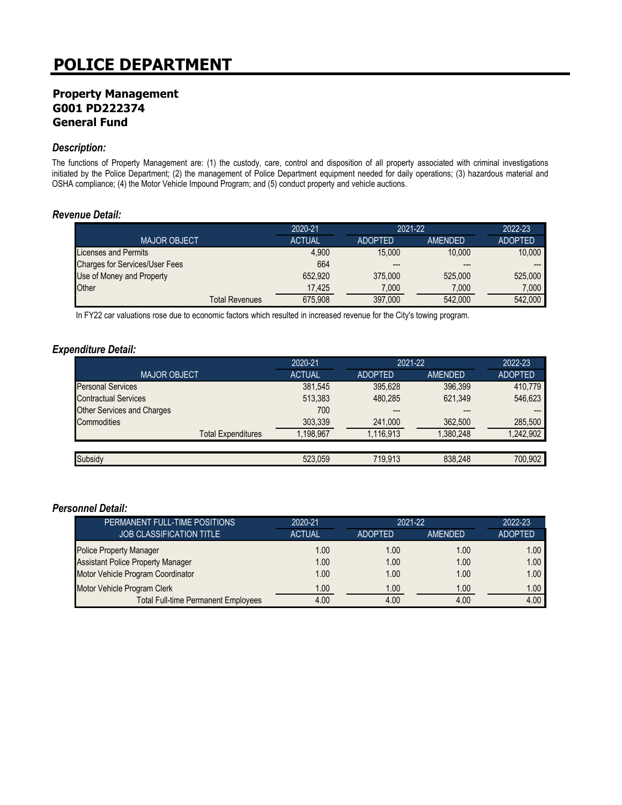### **Property Management G001 PD222374 General Fund**

#### *Description:*

The functions of Property Management are: (1) the custody, care, control and disposition of all property associated with criminal investigations initiated by the Police Department; (2) the management of Police Department equipment needed for daily operations; (3) hazardous material and OSHA compliance; (4) the Motor Vehicle Impound Program; and (5) conduct property and vehicle auctions.

#### *Revenue Detail:*

|                                       | 2020-21       | $2021 - 22$    |                | 2022-23        |
|---------------------------------------|---------------|----------------|----------------|----------------|
| <b>MAJOR OBJECT</b>                   | <b>ACTUAL</b> | <b>ADOPTED</b> | <b>AMFNDFD</b> | <b>ADOPTED</b> |
| Licenses and Permits                  | 4.900         | 15,000         | 10.000         | 10.000         |
| <b>Charges for Services/User Fees</b> | 664           | $---$          | $---$          |                |
| Use of Money and Property             | 652.920       | 375,000        | 525,000        | 525.000        |
| Other                                 | 17.425        | 7.000          | 7.000          | 7.000          |
| <b>Total Revenues</b>                 | 675.908       | 397.000        | 542,000        | 542.000        |

In FY22 car valuations rose due to economic factors which resulted in increased revenue for the City's towing program.

#### *Expenditure Detail:*

|                                   | 2020-21       | 2021-22        |           | 2022-23        |
|-----------------------------------|---------------|----------------|-----------|----------------|
| <b>MAJOR OBJECT.</b>              | <b>ACTUAL</b> | <b>ADOPTED</b> | AMENDED   | <b>ADOPTED</b> |
| <b>Personal Services</b>          | 381,545       | 395.628        | 396.399   | 410,779        |
| <b>Contractual Services</b>       | 513,383       | 480.285        | 621,349   | 546,623        |
| <b>Other Services and Charges</b> | 700           |                | ---       |                |
| Commodities                       | 303,339       | 241,000        | 362,500   | 285,500        |
| <b>Total Expenditures</b>         | 1.198.967     | 1.116.913      | 1.380.248 | .242.902       |
|                                   |               |                |           |                |
| Subsidy                           | 523.059       | 719.913        | 838.248   | 700.902        |

| PERMANENT FULL-TIME POSITIONS              | 2020-21       | $2021 - 22$    |         | 2022-23           |
|--------------------------------------------|---------------|----------------|---------|-------------------|
| <b>JOB CLASSIFICATION TITLE</b>            | <b>ACTUAL</b> | <b>ADOPTED</b> | AMENDED | <b>ADOPTED</b>    |
| <b>Police Property Manager</b>             | 1.00          | 1.00           | 1.00    | 1.00 <sub>1</sub> |
| <b>Assistant Police Property Manager</b>   | 1.00          | 1.00           | 1.00    | 1.00              |
| Motor Vehicle Program Coordinator          | 1.00          | 1.00           | 1.00    | 1.00              |
| Motor Vehicle Program Clerk                | 1.00          | 1.00           | 1.00    | 1.00              |
| <b>Total Full-time Permanent Employees</b> | 4.00          | 4.00           | 4.00    | 4.00              |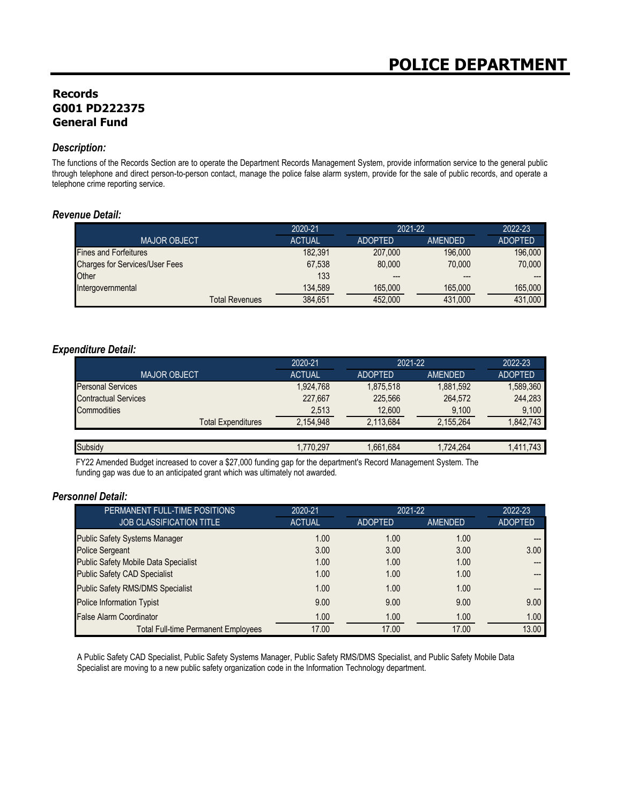## **Records G001 PD222375 General Fund**

#### *Description:*

The functions of the Records Section are to operate the Department Records Management System, provide information service to the general public through telephone and direct person-to-person contact, manage the police false alarm system, provide for the sale of public records, and operate a telephone crime reporting service.

#### *Revenue Detail:*

|                                       | 2020-21       | 2021-22        |                | 2022-23        |
|---------------------------------------|---------------|----------------|----------------|----------------|
| <b>MAJOR OBJECT</b>                   | <b>ACTUAL</b> | <b>ADOPTED</b> | <b>AMFNDFD</b> | <b>ADOPTED</b> |
| <b>Fines and Forfeitures</b>          | 182.391       | 207.000        | 196,000        | 196,000        |
| <b>Charges for Services/User Fees</b> | 67,538        | 80,000         | 70.000         | 70,000         |
| Other                                 | 133           | ---            | ---            |                |
| Intergovernmental                     | 134.589       | 165,000        | 165,000        | 165.000        |
| <b>Total Revenues</b>                 | 384.651       | 452,000        | 431.000        | 431.000        |

#### *Expenditure Detail:*

|                             | 2020-21       | 2021-22        |                | 2022-23        |
|-----------------------------|---------------|----------------|----------------|----------------|
| <b>MAJOR OBJECT</b>         | <b>ACTUAL</b> | <b>ADOPTED</b> | <b>AMENDED</b> | <b>ADOPTED</b> |
| <b>Personal Services</b>    | 1,924,768     | 1.875.518      | 1,881,592      | 1,589,360      |
| <b>Contractual Services</b> | 227,667       | 225.566        | 264,572        | 244,283        |
| <b>Commodities</b>          | 2,513         | 12,600         | 9,100          | 9,100          |
| <b>Total Expenditures</b>   | 2,154,948     | 2.113.684      | 2,155,264      | 1,842,743      |
|                             |               |                |                |                |
| Subsidy                     | 1,770,297     | 1,661,684      | 1.724.264      | 1,411,743      |

FY22 Amended Budget increased to cover a \$27,000 funding gap for the department's Record Management System. The funding gap was due to an anticipated grant which was ultimately not awarded.

#### *Personnel Detail:*

| PERMANENT FULL-TIME POSITIONS               | 2020-21       | 2021-22        |                | 2022-23        |
|---------------------------------------------|---------------|----------------|----------------|----------------|
| <b>JOB CLASSIFICATION TITLE</b>             | <b>ACTUAL</b> | <b>ADOPTED</b> | <b>AMENDED</b> | <b>ADOPTED</b> |
| <b>Public Safety Systems Manager</b>        | 1.00          | 1.00           | 1.00           |                |
| <b>Police Sergeant</b>                      | 3.00          | 3.00           | 3.00           | 3.00           |
| <b>Public Safety Mobile Data Specialist</b> | 1.00          | 1.00           | 1.00           |                |
| <b>Public Safety CAD Specialist</b>         | 1.00          | 1.00           | 1.00           |                |
| <b>Public Safety RMS/DMS Specialist</b>     | 1.00          | 1.00           | 1.00           |                |
| <b>Police Information Typist</b>            | 9.00          | 9.00           | 9.00           | 9.00           |
| <b>False Alarm Coordinator</b>              | 1.00          | 1.00           | 1.00           | 1.00           |
| <b>Total Full-time Permanent Employees</b>  | 17.00         | 17.00          | 17.00          | 13.00          |

A Public Safety CAD Specialist, Public Safety Systems Manager, Public Safety RMS/DMS Specialist, and Public Safety Mobile Data Specialist are moving to a new public safety organization code in the Information Technology department.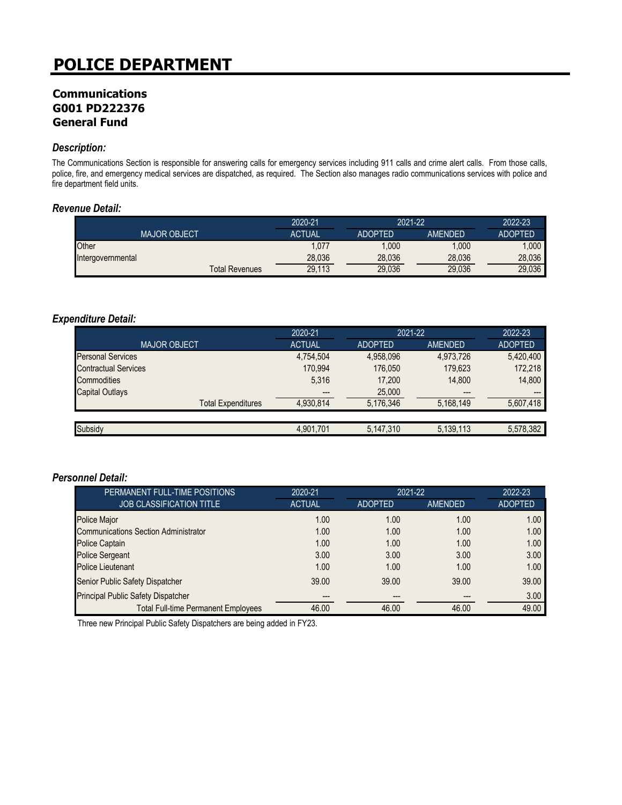## **Communications G001 PD222376 General Fund**

#### *Description:*

The Communications Section is responsible for answering calls for emergency services including 911 calls and crime alert calls. From those calls, police, fire, and emergency medical services are dispatched, as required. The Section also manages radio communications services with police and fire department field units.

#### *Revenue Detail:*

|                     |                       | 2020-21       | 2021-22        |                | 2022-23        |
|---------------------|-----------------------|---------------|----------------|----------------|----------------|
| <b>MAJOR OBJECT</b> |                       | <b>ACTUAL</b> | <b>ADOPTED</b> | <b>AMENDED</b> | <b>ADOPTED</b> |
| <b>Other</b>        |                       | 1,077         | .000           | 1.000          | .000           |
| Intergovernmental   |                       | 28,036        | 28,036         | 28.036         | 28.036         |
|                     | <b>Total Revenues</b> | 29,113        | 29,036         | 29,036         | 29,036         |

#### *Expenditure Detail:*

|                             | 2020-21       | 2021-22        |           | 2022-23        |
|-----------------------------|---------------|----------------|-----------|----------------|
| <b>MAJOR OBJECT</b>         | <b>ACTUAL</b> | <b>ADOPTED</b> | AMENDED   | <b>ADOPTED</b> |
| <b>Personal Services</b>    | 4,754,504     | 4,958,096      | 4,973,726 | 5,420,400      |
| <b>Contractual Services</b> | 170.994       | 176.050        | 179.623   | 172,218        |
| <b>Commodities</b>          | 5,316         | 17,200         | 14,800    | 14,800         |
| <b>Capital Outlays</b>      |               | 25,000         | $---$     | $---$          |
| <b>Total Expenditures</b>   | 4,930,814     | 5,176,346      | 5,168,149 | 5,607,418      |
|                             |               |                |           |                |
| Subsidy                     | 4,901,701     | 5,147,310      | 5,139,113 | 5,578,382      |

#### *Personnel Detail:*

| PERMANENT FULL-TIME POSITIONS               | 2020-21       |                | 2021-22 |                |
|---------------------------------------------|---------------|----------------|---------|----------------|
| <b>JOB CLASSIFICATION TITLE</b>             | <b>ACTUAL</b> | <b>ADOPTED</b> | AMENDED | <b>ADOPTED</b> |
| <b>Police Major</b>                         | 1.00          | 1.00           | 1.00    | 1.00           |
| <b>Communications Section Administrator</b> | 1.00          | 1.00           | 1.00    | 1.00           |
| <b>Police Captain</b>                       | 1.00          | 1.00           | 1.00    | 1.00           |
| <b>Police Sergeant</b>                      | 3.00          | 3.00           | 3.00    | 3.00           |
| <b>Police Lieutenant</b>                    | 1.00          | 1.00           | 1.00    | 1.00           |
| Senior Public Safety Dispatcher             | 39.00         | 39.00          | 39.00   | 39.00          |
| <b>Principal Public Safety Dispatcher</b>   | ---           |                | ---     | 3.00           |
| <b>Total Full-time Permanent Employees</b>  | 46.00         | 46.00          | 46.00   | 49.00          |

Three new Principal Public Safety Dispatchers are being added in FY23.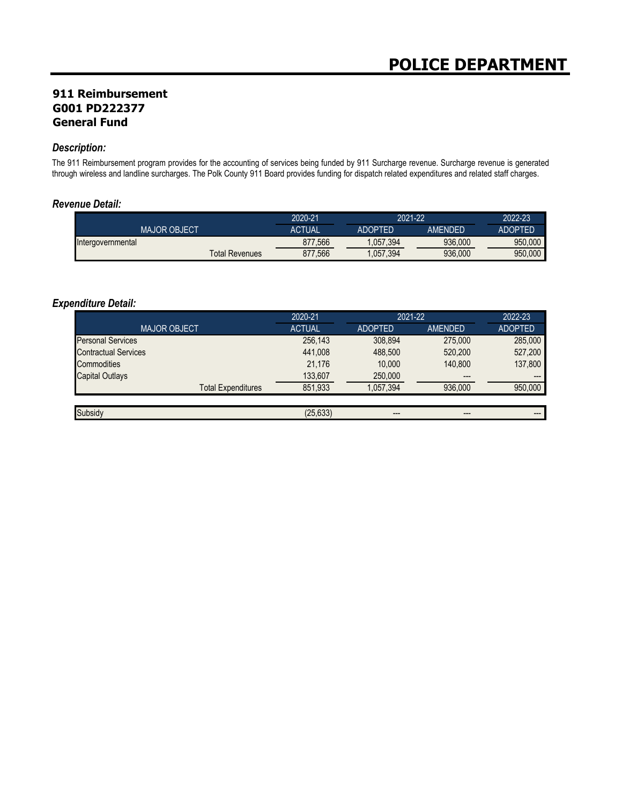## **911 Reimbursement G001 PD222377 General Fund**

#### *Description:*

The 911 Reimbursement program provides for the accounting of services being funded by 911 Surcharge revenue. Surcharge revenue is generated through wireless and landline surcharges. The Polk County 911 Board provides funding for dispatch related expenditures and related staff charges.

#### *Revenue Detail:*

|                     |                       | 2020-21       | 2021-22   |                | 2022-23 |
|---------------------|-----------------------|---------------|-----------|----------------|---------|
| <b>MAJOR OBJECT</b> |                       | <b>ACTUAL</b> | ADOPTED   | <b>AMFNDFD</b> | ADOPTFD |
| Intergovernmental   |                       | 877,566       | 1,057,394 | 936.000        | 950.000 |
|                     | <b>Total Revenues</b> | 877,566       | 1,057,394 | 936,000        | 950.000 |

#### *Expenditure Detail:*

|                             | 2020-21       |                | 2021-22        | 2022-23        |
|-----------------------------|---------------|----------------|----------------|----------------|
| <b>MAJOR OBJECT</b>         | <b>ACTUAL</b> | <b>ADOPTED</b> | <b>AMENDED</b> | <b>ADOPTED</b> |
| <b>Personal Services</b>    | 256,143       | 308.894        | 275,000        | 285,000        |
| <b>Contractual Services</b> | 441.008       | 488,500        | 520,200        | 527,200        |
| Commodities                 | 21.176        | 10.000         | 140.800        | 137,800        |
| <b>Capital Outlays</b>      | 133,607       | 250,000        | $---$          | ---            |
| <b>Total Expenditures</b>   | 851,933       | 1,057,394      | 936.000        | 950,000        |
|                             |               |                |                |                |
| Subsidy                     | (25, 633)     |                | ---            | ---            |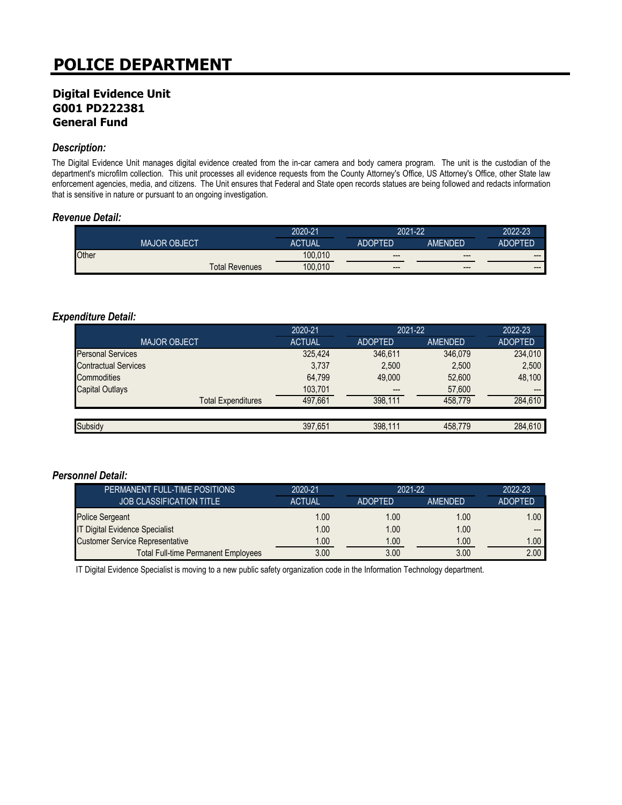## **Digital Evidence Unit G001 PD222381 General Fund**

#### *Description:*

The Digital Evidence Unit manages digital evidence created from the in-car camera and body camera program. The unit is the custodian of the department's microfilm collection. This unit processes all evidence requests from the County Attorney's Office, US Attorney's Office, other State law enforcement agencies, media, and citizens. The Unit ensures that Federal and State open records statues are being followed and redacts information that is sensitive in nature or pursuant to an ongoing investigation.

#### *Revenue Detail:*

|       |                     |                       | 2020-21       | 2021-22        |                        | 2022-23 |
|-------|---------------------|-----------------------|---------------|----------------|------------------------|---------|
|       | <b>MAJOR OBJECT</b> |                       | <b>ACTUAL</b> | <b>ADOPTED</b> | AMENDED                | ADOPTED |
| Other |                     |                       | 100.010       | $---$          | $---$                  | $--$    |
|       |                     | <b>Total Revenues</b> | 100.010       | $---$          | $\qquad \qquad \cdots$ | $--$    |

#### *Expenditure Detail:*

|                             | 2020-21       | 2021-22        |         | 2022-23        |
|-----------------------------|---------------|----------------|---------|----------------|
| <b>MAJOR OBJECT</b>         | <b>ACTUAL</b> | <b>ADOPTED</b> | AMENDED | <b>ADOPTED</b> |
| <b>Personal Services</b>    | 325,424       | 346.611        | 346.079 | 234,010        |
| <b>Contractual Services</b> | 3,737         | 2,500          | 2,500   | 2,500          |
| Commodities                 | 64.799        | 49,000         | 52,600  | 48,100         |
| <b>Capital Outlays</b>      | 103,701       | $---$          | 57,600  | $---$          |
| <b>Total Expenditures</b>   | 497.661       | 398.111        | 458.779 | 284,610        |
|                             |               |                |         |                |
| Subsidy                     | 397,651       | 398,111        | 458.779 | 284,610        |

#### *Personnel Detail:*

| PERMANENT FULL-TIME POSITIONS              | 2020-21       | $2021 - 22$    |                | 2022-23           |
|--------------------------------------------|---------------|----------------|----------------|-------------------|
| <b>JOB CLASSIFICATION TITLE</b>            | <b>ACTUAL</b> | <b>ADOPTED</b> | <b>AMENDED</b> | <b>ADOPTED</b>    |
| <b>Police Sergeant</b>                     | 1.00          | 1.00           | 1.00           | 1.00 <sub>1</sub> |
| <b>IT Digital Evidence Specialist</b>      | 1.00          | 1.00           | 1.00           | $---$             |
| <b>Customer Service Representative</b>     | 1.00          | 1.00           | 1.00           | 1.00 <sub>1</sub> |
| <b>Total Full-time Permanent Employees</b> | 3.00          | 3.00           | 3.00           | 2.00              |

IT Digital Evidence Specialist is moving to a new public safety organization code in the Information Technology department.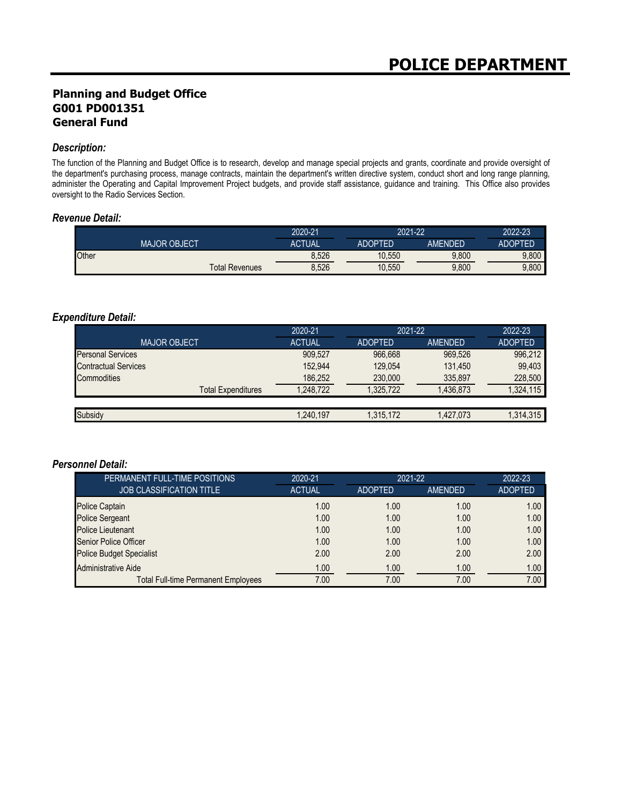## **Planning and Budget Office G001 PD001351 General Fund**

#### *Description:*

The function of the Planning and Budget Office is to research, develop and manage special projects and grants, coordinate and provide oversight of the department's purchasing process, manage contracts, maintain the department's written directive system, conduct short and long range planning, administer the Operating and Capital Improvement Project budgets, and provide staff assistance, guidance and training. This Office also provides oversight to the Radio Services Section.

#### *Revenue Detail:*

|       |                     |                       | 2020-21 | 2021-22        |                | 2022-23        |
|-------|---------------------|-----------------------|---------|----------------|----------------|----------------|
|       | <b>MAJOR OBJECT</b> |                       | ACTUAL  | <b>ADOPTED</b> | <b>AMFNDFD</b> | <b>ADOPTED</b> |
| Other |                     |                       | 8,526   | 10,550         | 9,800          | 9,800          |
|       |                     | <b>Total Revenues</b> | 8,526   | 10,550         | 9,800          | 9,800          |

#### *Expenditure Detail:*

|                             | 2020-21       | 2021-22        |           | 2022-23        |
|-----------------------------|---------------|----------------|-----------|----------------|
| <b>MAJOR OBJECT</b>         | <b>ACTUAL</b> | <b>ADOPTED</b> | AMENDED   | <b>ADOPTED</b> |
| <b>Personal Services</b>    | 909,527       | 966.668        | 969.526   | 996,212        |
| <b>Contractual Services</b> | 152.944       | 129.054        | 131.450   | 99,403         |
| Commodities                 | 186,252       | 230,000        | 335,897   | 228,500        |
| <b>Total Expenditures</b>   | 1.248.722     | 1.325.722      | 1.436.873 | 1,324,115      |
|                             |               |                |           |                |
| Subsidy                     | 1.240.197     | 1.315.172      | 1,427,073 | 1,314,315      |

| PERMANENT FULL-TIME POSITIONS              | 2020-21       | 2021-22        |                | 2022-23        |
|--------------------------------------------|---------------|----------------|----------------|----------------|
| <b>JOB CLASSIFICATION TITLE</b>            | <b>ACTUAL</b> | <b>ADOPTED</b> | <b>AMENDED</b> | <b>ADOPTED</b> |
| Police Captain                             | 1.00          | 1.00           | 1.00           | 1.00           |
| <b>Police Sergeant</b>                     | 1.00          | 1.00           | 1.00           | 1.00           |
| <b>Police Lieutenant</b>                   | 1.00          | 1.00           | 1.00           | 1.00           |
| <b>Senior Police Officer</b>               | 1.00          | 1.00           | 1.00           | 1.00           |
| <b>Police Budget Specialist</b>            | 2.00          | 2.00           | 2.00           | 2.00           |
| <b>Administrative Aide</b>                 | 1.00          | 1.00           | 1.00           | 1.00           |
| <b>Total Full-time Permanent Employees</b> | 7.00          | 7.00           | 7.00           | 7.00           |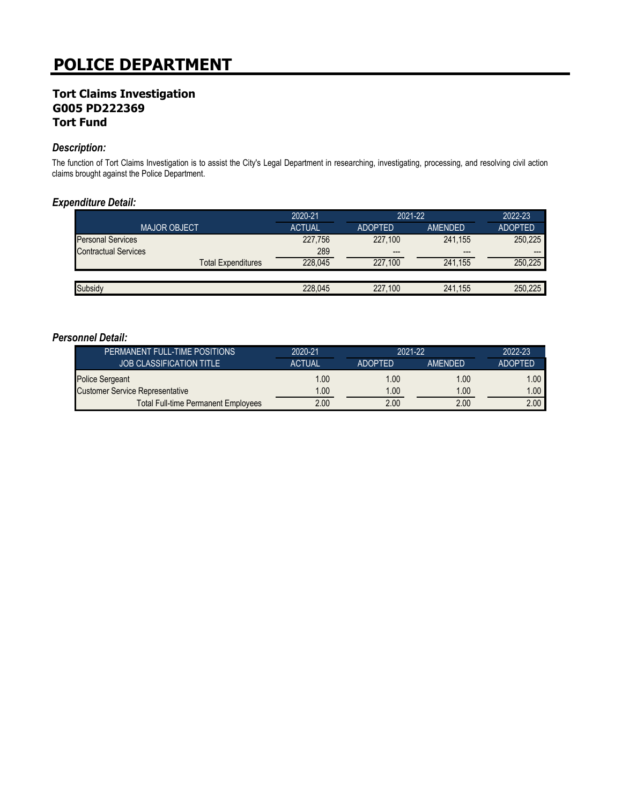## **Tort Claims Investigation G005 PD222369 Tort Fund**

#### *Description:*

The function of Tort Claims Investigation is to assist the City's Legal Department in researching, investigating, processing, and resolving civil action claims brought against the Police Department.

#### *Expenditure Detail:*

|                             | 2020-21       | 2021-22        |         | 2022-23        |  |
|-----------------------------|---------------|----------------|---------|----------------|--|
| <b>MAJOR OBJECT</b>         | <b>ACTUAL</b> | <b>ADOPTED</b> | AMENDED | <b>ADOPTED</b> |  |
| <b>Personal Services</b>    | 227,756       | 227.100        | 241.155 | 250.225        |  |
| <b>Contractual Services</b> | 289           | $---$          | $---$   | ---            |  |
| <b>Total Expenditures</b>   | 228,045       | 227.100        | 241.155 | 250.225        |  |
|                             |               |                |         |                |  |
| Subsidy                     | 228.045       | 227.100        | 241.155 | 250.225        |  |

| PERMANENT FULL-TIME POSITIONS              | 2020-21       | 2021-22        |                | 2022-23        |
|--------------------------------------------|---------------|----------------|----------------|----------------|
| <b>JOB CLASSIFICATION TITLE</b>            | <b>ACTUAL</b> | <b>ADOPTED</b> | <b>AMENDED</b> | <b>ADOPTED</b> |
| <b>Police Sergeant</b>                     | 1.00          | 1.00           | 1.00           | 1.00           |
| <b>Customer Service Representative</b>     | 1.00          | 1.00           | 0.00           | 1.00           |
| <b>Total Full-time Permanent Employees</b> | 2.00          | 2.00           | 2.00           | 2.00           |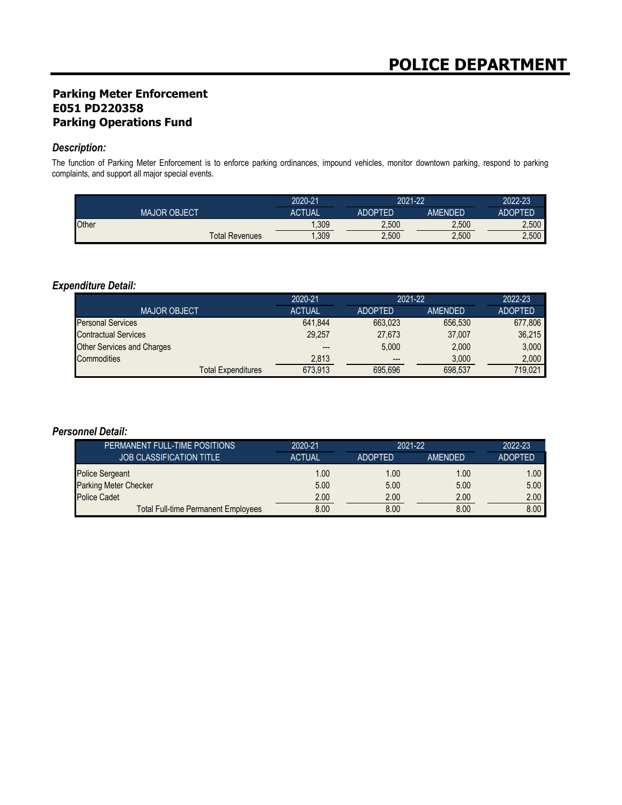## **Parking Meter Enforcement E051 PD220358 Parking Operations Fund**

#### *Description:*

The function of Parking Meter Enforcement is to enforce parking ordinances, impound vehicles, monitor downtown parking, respond to parking complaints, and support all major special events.

|       |                       | 2020-21       |                | 2021-22 |                |
|-------|-----------------------|---------------|----------------|---------|----------------|
|       | <b>MAJOR OBJECT</b>   | <b>ACTUAL</b> | <b>ADOPTED</b> | AMENDED | <b>ADOPTED</b> |
| Other |                       | .309          | 2,500          | 2.500   | 2.500          |
|       | <b>Total Revenues</b> | ,309          | 2,500          | 2,500   | 2,500          |

### *Expenditure Detail:*

|                             | 2020-21       | 2021-22        |         | 2022-23        |
|-----------------------------|---------------|----------------|---------|----------------|
| <b>MAJOR OBJECT</b>         | <b>ACTUAL</b> | <b>ADOPTED</b> | AMENDED | <b>ADOPTED</b> |
| <b>Personal Services</b>    | 641.844       | 663.023        | 656.530 | 677.806        |
| <b>Contractual Services</b> | 29.257        | 27.673         | 37,007  | 36.215         |
| Other Services and Charges  |               | 5.000          | 2,000   | 3.000          |
| Commodities                 | 2,813         | $---$          | 3,000   | 2.000          |
| <b>Total Expenditures</b>   | 673.913       | 695.696        | 698.537 | 719.021        |

| PERMANENT FULL-TIME POSITIONS              | 2020-21       | 2021-22        |                | 2022-23           |
|--------------------------------------------|---------------|----------------|----------------|-------------------|
| <b>JOB CLASSIFICATION TITLE</b>            | <b>ACTUAL</b> | <b>ADOPTED</b> | <b>AMENDED</b> | <b>ADOPTED</b>    |
| Police Sergeant                            | 1.00          | 1.00           | 1.00           | 1.00 <sub>1</sub> |
| <b>Parking Meter Checker</b>               | 5.00          | 5.00           | 5.00           | 5.00              |
| <b>Police Cadet</b>                        | 2.00          | 2.00           | 2.00           | 2.00              |
| <b>Total Full-time Permanent Employees</b> | 8.00          | 8.00           | 8.00           | 8.00              |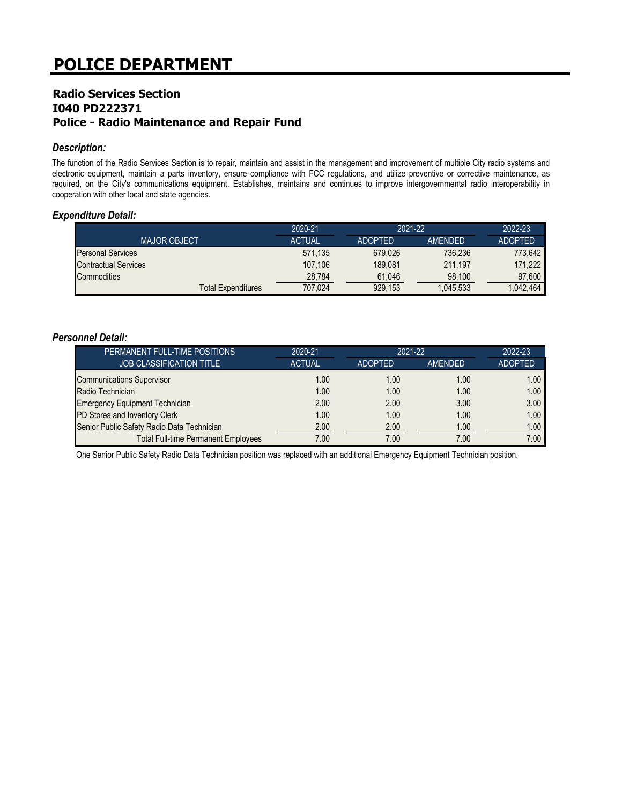## **Radio Services Section I040 PD222371 Police - Radio Maintenance and Repair Fund**

#### *Description:*

The function of the Radio Services Section is to repair, maintain and assist in the management and improvement of multiple City radio systems and electronic equipment, maintain a parts inventory, ensure compliance with FCC regulations, and utilize preventive or corrective maintenance, as required, on the City's communications equipment. Establishes, maintains and continues to improve intergovernmental radio interoperability in cooperation with other local and state agencies.

#### *Expenditure Detail:*

|                           | 2020-21       | $2021 - 22$    |                | 2022-23        |
|---------------------------|---------------|----------------|----------------|----------------|
| <b>MAJOR OBJECT</b>       | <b>ACTUAL</b> | <b>ADOPTED</b> | <b>AMENDED</b> | <b>ADOPTED</b> |
| <b>Personal Services</b>  | 571,135       | 679.026        | 736.236        | 773.642        |
| Contractual Services      | 107.106       | 189.081        | 211.197        | 171.222        |
| <b>Commodities</b>        | 28.784        | 61.046         | 98.100         | 97.600         |
| <b>Total Expenditures</b> | 707.024       | 929.153        | .045.533       | .042.464       |

#### *Personnel Detail:*

| PERMANENT FULL-TIME POSITIONS              | 2020-21       | 2021-22 |                | 2022-23           |
|--------------------------------------------|---------------|---------|----------------|-------------------|
| <b>JOB CLASSIFICATION TITLE</b>            | <b>ACTUAL</b> | ADOPTED | <b>AMENDED</b> | <b>ADOPTED</b>    |
| <b>Communications Supervisor</b>           | 1.00          | 1.00    | 1.00           | 1.00 <sub>1</sub> |
| Radio Technician                           | 1.00          | 1.00    | 1.00           | 1.00              |
| <b>Emergency Equipment Technician</b>      | 2.00          | 2.00    | 3.00           | 3.00              |
| PD Stores and Inventory Clerk              | 1.00          | 1.00    | 1.00           | 1.00              |
| Senior Public Safety Radio Data Technician | 2.00          | 2.00    | 1.00           | 1.00              |
| <b>Total Full-time Permanent Employees</b> | 7.00          | 7.00    | 7.00           | 7.00              |

One Senior Public Safety Radio Data Technician position was replaced with an additional Emergency Equipment Technician position.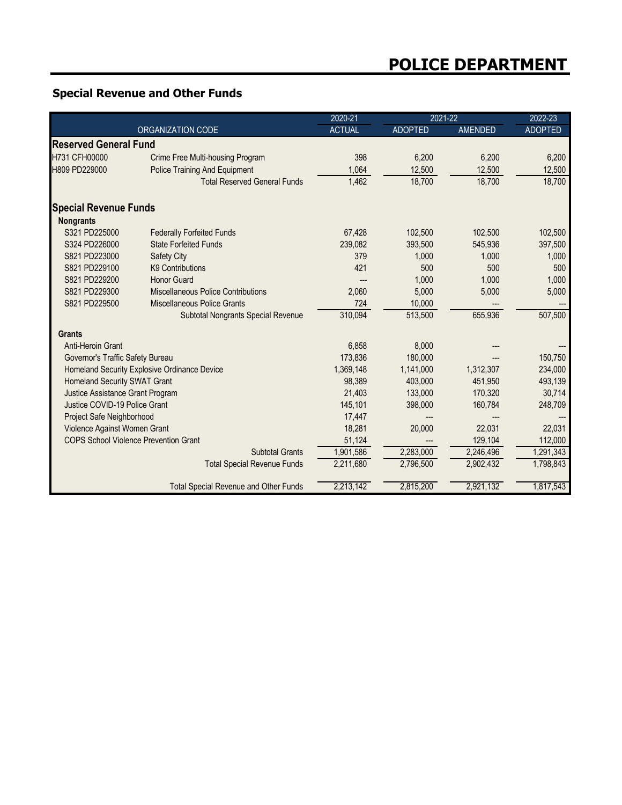## **Special Revenue and Other Funds**

|                                              |                                      | 2020-21       |                | 2021-22        |                |
|----------------------------------------------|--------------------------------------|---------------|----------------|----------------|----------------|
| ORGANIZATION CODE                            |                                      | <b>ACTUAL</b> | <b>ADOPTED</b> | <b>AMENDED</b> | <b>ADOPTED</b> |
| <b>Reserved General Fund</b>                 |                                      |               |                |                |                |
| H731 CFH00000                                | Crime Free Multi-housing Program     | 398           | 6.200          | 6.200          | 6,200          |
| H809 PD229000                                | <b>Police Training And Equipment</b> | 1.064         | 12,500         | 12,500         | 12,500         |
|                                              | <b>Total Reserved General Funds</b>  | 1,462         | 18,700         | 18,700         | 18,700         |
| <b>Special Revenue Funds</b>                 |                                      |               |                |                |                |
| <b>Nongrants</b>                             |                                      |               |                |                |                |
| S321 PD225000                                | <b>Federally Forfeited Funds</b>     | 67.428        | 102,500        | 102,500        | 102,500        |
| S324 PD226000                                | <b>State Forfeited Funds</b>         | 239,082       | 393,500        | 545,936        | 397,500        |
| S821 PD223000                                | Safety City                          | 379           | 1,000          | 1,000          | 1,000          |
| S821 PD229100                                | <b>K9 Contributions</b>              | 421           | 500            | 500            | 500            |
| S821 PD229200                                | <b>Honor Guard</b>                   | ---           | 1,000          | 1,000          | 1,000          |
| S821 PD229300                                | Miscellaneous Police Contributions   | 2,060         | 5,000          | 5,000          | 5,000          |
| S821 PD229500                                | Miscellaneous Police Grants          | 724           | 10,000         |                |                |
|                                              | Subtotal Nongrants Special Revenue   | 310,094       | 513,500        | 655,936        | 507,500        |
| <b>Grants</b>                                |                                      |               |                |                |                |
| Anti-Heroin Grant                            |                                      | 6,858         | 8,000          |                |                |
| Governor's Traffic Safety Bureau             |                                      | 173,836       | 180,000        |                | 150,750        |
| Homeland Security Explosive Ordinance Device |                                      | 1,369,148     | 1,141,000      | 1,312,307      | 234,000        |
| Homeland Security SWAT Grant                 |                                      | 98,389        | 403,000        | 451,950        | 493,139        |
| Justice Assistance Grant Program             |                                      | 21,403        | 133,000        | 170,320        | 30,714         |
| Justice COVID-19 Police Grant                |                                      | 145.101       | 398,000        | 160,784        | 248,709        |
| Project Safe Neighborhood                    |                                      | 17,447        |                |                |                |
| Violence Against Women Grant                 |                                      | 18,281        | 20,000         | 22,031         | 22,031         |
| <b>COPS School Violence Prevention Grant</b> |                                      | 51,124        |                | 129,104        | 112,000        |
|                                              | <b>Subtotal Grants</b>               | 1,901,586     | 2,283,000      | 2,246,496      | 1,291,343      |
|                                              | <b>Total Special Revenue Funds</b>   | 2,211,680     | 2,796,500      | 2,902,432      | 1,798,843      |
| <b>Total Special Revenue and Other Funds</b> |                                      | 2,213,142     | 2,815,200      | 2,921,132      | 1,817,543      |